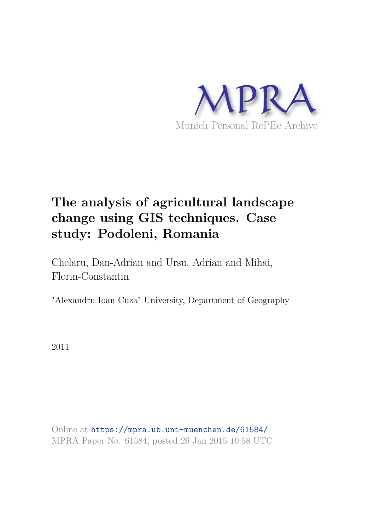

# **The analysis of agricultural landscape change using GIS techniques. Case study: Podoleni, Romania**

Chelaru, Dan-Adrian and Ursu, Adrian and Mihai, Florin-Constantin

"Alexandru Ioan Cuza" University, Department of Geography

2011

Online at https://mpra.ub.uni-muenchen.de/61584/ MPRA Paper No. 61584, posted 26 Jan 2015 10:58 UTC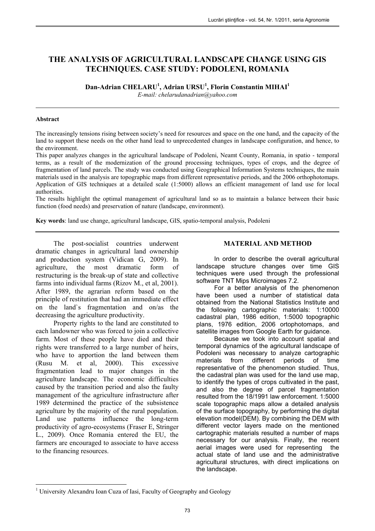# **THE ANALYSIS OF AGRICULTURAL LANDSCAPE CHANGE USING GIS TECHNIQUES. CASE STUDY: PODOLENI, ROMANIA**

**Dan-Adrian CHELARU<sup>1</sup> , Adrian URSU<sup>1</sup> , Florin Constantin MIHAI<sup>1</sup>**

*E-mail: chelarudanadrian@yahoo.com*

#### **Abstract**

The increasingly tensions rising between society's need for resources and space on the one hand, and the capacity of the land to support these needs on the other hand lead to unprecedented changes in landscape configuration, and hence, to the environment.

This paper analyzes changes in the agricultural landscape of Podoleni, Neamt County, Romania, in spatio - temporal terms, as a result of the modernization of the ground processing techniques, types of crops, and the degree of fragmentation of land parcels. The study was conducted using Geographical Information Systems techniques, the main materials used in the analysis are topographic maps from different representative periods, and the 2006 orthophotomaps. Application of GIS techniques at a detailed scale (1:5000) allows an efficient management of land use for local authorities.

The results highlight the optimal management of agricultural land so as to maintain a balance between their basic function (food needs) and preservation of nature (landscape, environment).

**Key words**: land use change, agricultural landscape, GIS, spatio-temporal analysis, Podoleni

The post-socialist countries underwent dramatic changes in agricultural land ownership and production system (Vidican G, 2009). In agriculture, the most dramatic form of restructuring is the break-up of state and collective farms into individual farms (Rizov M., et al, 2001). After 1989, the agrarian reform based on the principle of restitution that had an immediate effect on the land`s fragmentation and on/as the decreasing the agriculture productivity.

Property rights to the land are constituted to each landowner who was forced to join a collective farm. Most of these people have died and their rights were transferred to a large number of heirs, who have to apportion the land between them (Rusu M. et al, 2000). This excessive fragmentation lead to major changes in the agriculture landscape. The economic difficulties caused by the transition period and also the faulty management of the agriculture infrastructure after 1989 determined the practice of the subsistence agriculture by the majority of the rural population. Land use patterns influence the long-term productivity of agro-ecosystems (Fraser E, Stringer L., 2009). Once Romania entered the EU, the farmers are encouraged to associate to have access to the financing resources.

## **MATERIAL AND METHOD**

In order to describe the overall agricultural landscape structure changes over time GIS techniques were used through the professional software TNT Mips Microimages 7.2.

For a better analysis of the phenomenon have been used a number of statistical data obtained from the National Statistics Institute and the following cartographic materials: 1:10000 cadastral plan, 1986 edition, 1:5000 topographic plans, 1976 edition, 2006 ortophotomaps, and satellite images from Google Earth for guidance.

Because we took into account spatial and temporal dynamics of the agricultural landscape of Podoleni was necessary to analyze cartographic materials from different periods of time representative of the phenomenon studied. Thus, the cadastral plan was used for the land use map, to identify the types of crops cultivated in the past, and also the degree of parcel fragmentation resulted from the 18/1991 law enforcement. 1:5000 scale topographic maps allow a detailed analysis of the surface topography, by performing the digital elevation model(DEM). By combining the DEM with different vector layers made on the mentioned cartographic materials resulted a number of maps necessary for our analysis. Finally, the recent aerial images were used for representing the actual state of land use and the administrative agricultural structures, with direct implications on the landscape.

 $\overline{a}$ <sup>1</sup> University Alexandru Ioan Cuza of Iasi, Faculty of Geography and Geology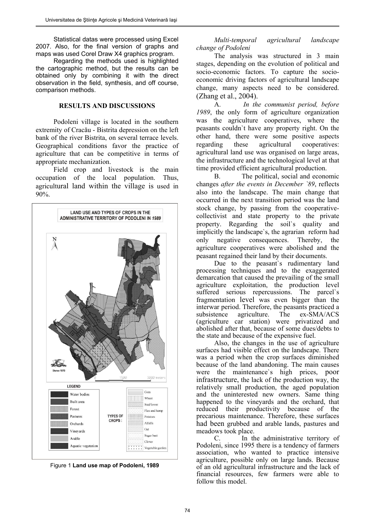Statistical datas were processed using Excel 2007. Also, for the final version of graphs and maps was used Corel Draw X4 graphics program.

Regarding the methods used is highlighted the cartographic method, but the results can be obtained only by combining it with the direct observation in the field, synthesis, and off course, comparison methods.

#### **RESULTS AND DISCUSSIONS**

Podoleni village is located in the southern extremity of Cracău - Bistrita depression on the left bank of the river Bistrita, on several terrace levels. Geographical conditions favor the practice of agriculture that can be competitive in terms of appropriate mechanization.

Field crop and livestock is the main occupation of the local population. Thus, agricultural land within the village is used in 90%.





*Multi-temporal agricultural landscape change of Podoleni* 

The analysis was structured in 3 main stages, depending on the evolution of political and socio-economic factors. To capture the socioeconomic driving factors of agricultural landscape change, many aspects need to be considered. (Zhang et al., 2004).

A. *In the communist period, before 1989*, the only form of agriculture organization was the agriculture cooperatives, where the peasants couldn`t have any property right. On the other hand, there were some positive aspects regarding these agricultural cooperatives: agricultural land use was organised on large areas, the infrastructure and the technological level at that time provided efficient agricultural production.

B. The political, social and economic changes *after the events in December `89*, reflects also into the landscape. The main change that occurred in the next transition period was the land stock change, by passing from the cooperativecollectivist and state property to the private property. Regarding the soil`s quality and implicitly the landscape`s, the agrarian reform had only negative consequences. Thereby, the agriculture cooperatives were abolished and the peasant regained their land by their documents.

Due to the peasant's rudimentary land processing techniques and to the exaggerated demarcation that caused the prevailing of the small agriculture exploitation, the production level suffered serious repercussions. The parcel's fragmentation level was even bigger than the interwar period. Therefore, the peasants practiced a subsistence agriculture. The ex-SMA/ACS  $ex-SMA/ACS$ (agriculture car station) were privatized and abolished after that, because of some dues/debts to the state and because of the expensive fuel.

Also, the changes in the use of agriculture surfaces had visible effect on the landscape. There was a period when the crop surfaces diminished because of the land abandoning. The main causes were the maintenance`s high prices, poor infrastructure, the lack of the production way, the relatively small production, the aged population and the uninterested new owners. Same thing happened to the vineyards and the orchard, that reduced their productivity because of the precarious maintenance. Therefore, these surfaces had been grubbed and arable lands, pastures and meadows took place.

C. In the administrative territory of Podoleni, since 1995 there is a tendency of farmers association, who wanted to practice intensive agriculture, possible only on large lands. Because of an old agricultural infrastructure and the lack of financial resources, few farmers were able to follow this model.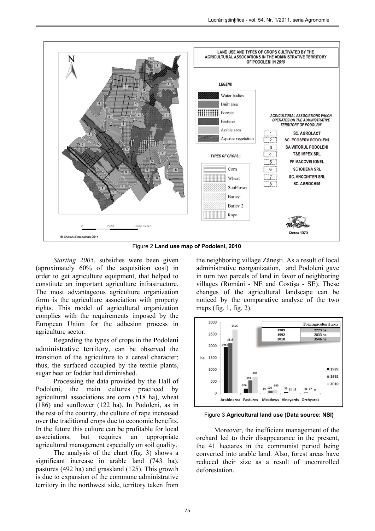

Figure 2 **Land use map of Podoleni, 2010**

*Starting 2005*, subsidies were been given (aproximately 60% of the acquisition cost) in order to get agriculture equipment, that helped to constitute an important agriculture infrastructure. The most advantageous agriculture organization form is the agriculture association with property rights. This model of agricultural organization complies with the requirements imposed by the European Union for the adhesion process in agriculture sector.

Regarding the types of crops in the Podoleni administrative territory, can be observed the transition of the agriculture to a cereal character; thus, the surfaced occupied by the textile plants, sugar beet or fodder had diminished.

Processing the data provided by the Hall of Podoleni, the main cultures practiced by agricultural associations are corn  $(518$  ha), wheat (186) and sunflower (122 ha). In Podoleni, as in the rest of the country, the culture of rape increased over the traditional crops due to economic benefits. In the future this culture can be profitable for local associations, but requires an appropriate agricultural management especially on soil quality.

The analysis of the chart (fig. 3) shows a significant increase in arable land (743 ha), pastures (492 ha) and grassland (125). This growth is due to expansion of the commune administrative territory in the northwest side, territory taken from the neighboring village Zăneşti. As a result of local administrative reorganization, and Podoleni gave in turn two parcels of land in favor of neighboring villages (Români - NE and Costişa - SE). These changes of the agricultural landscape can be noticed by the comparative analyse of the two maps (fig. 1, fig. 2).



Figure 3 **Agricultural land use (Data source: NSI)**

Moreover, the inefficient management of the orchard led to their disappearance in the present, the 41 hectares in the communist period being converted into arable land. Also, forest areas have reduced their size as a result of uncontrolled deforestation.